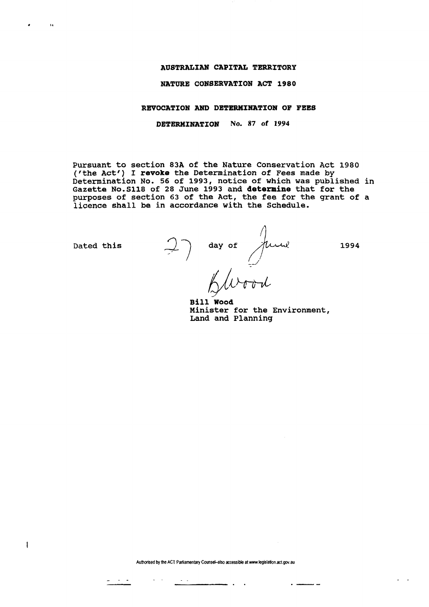## **AUSTRALIAN CAPITAL TERRITORY**

## **NATURE CONSERVATION ACT 1980**

## **REVOCATION AND DETERMINATION OF FEES**

**DETERMINATION** No. 87 of 1994

Pursuant to section 83A of the Nature Conservation Act 1980 ('the Act') I **revoke** the Determination of Fees made by Determination No. 56 of 1993, notice of which was published in Gazette N0.SII8 of 28 June 1993 and **determine** that for the purposes of section 63 of the Act, the fee for the grant of a licence shall be in accordance with the Schedule.

 $\frac{1}{2}$ 

 $\sigma_{\rm{eff}}$  ,  $\sigma_{\rm{eff}}$ 

 $\sim$   $\sim$ 

 $\sim$  14

 $\mathbf{1}$ 

Dated this  $\bigcup$  ) day of  $\bigwedge$  /*U-V-U*? 1994 *lH~inl-*

**Bil l Wood**  Minister for the Environment, Land and Planning

Authorised by the ACT Parliamentary Counsel-also accessible at www.legislation.act.gov.au

 $\overline{\phantom{a}}$ 

 $\sim$   $\sim$ 

- -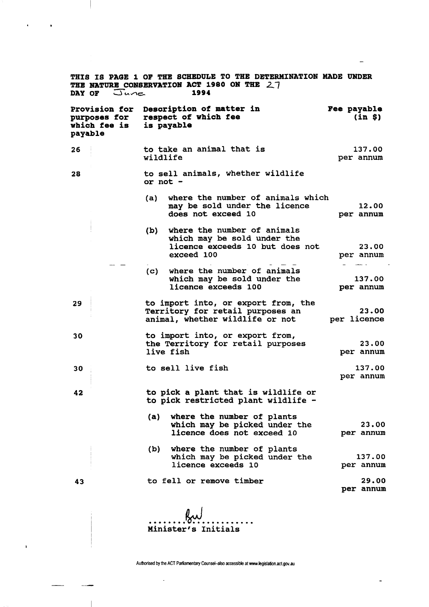| THIS IS PAGE 1 OF THE SCHEDULE TO THE DETERMINATION MADE UNDER<br>THE NATURE CONSERVATION ACT 1980 ON THE 27<br>DAY OF $\Box$ une<br>1994 |  |                                                                              |                                                                                                             |                       |  |  |
|-------------------------------------------------------------------------------------------------------------------------------------------|--|------------------------------------------------------------------------------|-------------------------------------------------------------------------------------------------------------|-----------------------|--|--|
| purposes for<br>which fee is<br>payable                                                                                                   |  | Provision for Description of matter in<br>respect of which fee<br>is payable |                                                                                                             | Fee payable<br>(in 5) |  |  |
| 26                                                                                                                                        |  | wildlife                                                                     | to take an animal that is                                                                                   | 137.00<br>per annum   |  |  |
| 28                                                                                                                                        |  | to sell animals, whether wildlife<br>or $not -$                              |                                                                                                             |                       |  |  |
|                                                                                                                                           |  | (a)                                                                          | where the number of animals which<br>may be sold under the licence<br>does not exceed 10                    | 12.00<br>per annum    |  |  |
|                                                                                                                                           |  | (b)                                                                          | where the number of animals<br>which may be sold under the<br>licence exceeds 10 but does not<br>exceed 100 | 23.00<br>per annum    |  |  |
|                                                                                                                                           |  | (c)                                                                          | where the number of animals<br>which may be sold under the<br>licence exceeds 100                           | 137.00<br>per annum   |  |  |
| 29                                                                                                                                        |  |                                                                              | to import into, or export from, the<br>Territory for retail purposes an<br>animal, whether wildlife or not  | 23.00<br>per licence  |  |  |
| 30                                                                                                                                        |  |                                                                              | to import into, or export from,<br>the Territory for retail purposes<br>live fish                           | 23.00<br>per annum    |  |  |
| 30                                                                                                                                        |  |                                                                              | to sell live fish                                                                                           | 137.00<br>per annum   |  |  |
| 42                                                                                                                                        |  |                                                                              | to pick a plant that is wildlife or<br>to pick restricted plant wildlife -                                  |                       |  |  |
|                                                                                                                                           |  |                                                                              | (a) where the number of plants<br>which may be picked under the<br>licence does not exceed 10               | 23.00<br>per annum    |  |  |
|                                                                                                                                           |  |                                                                              | (b) where the number of plants<br>which may be picked under the<br>licence exceeds 10                       | 137.00<br>per annum   |  |  |
| 43                                                                                                                                        |  |                                                                              | to fell or remove timber                                                                                    | 29.00<br>per annum    |  |  |
|                                                                                                                                           |  |                                                                              | Minister's Initials                                                                                         |                       |  |  |

 $\overline{\phantom{m}}$ 

 $\epsilon$ 

 $\pmb{\cdot}$ 

 $\bullet$ 

**Authorised by the ACT Parliamentary Counsel-also accessible at www.legislation.act.gov.au** 

 $\ddot{\phantom{a}}$